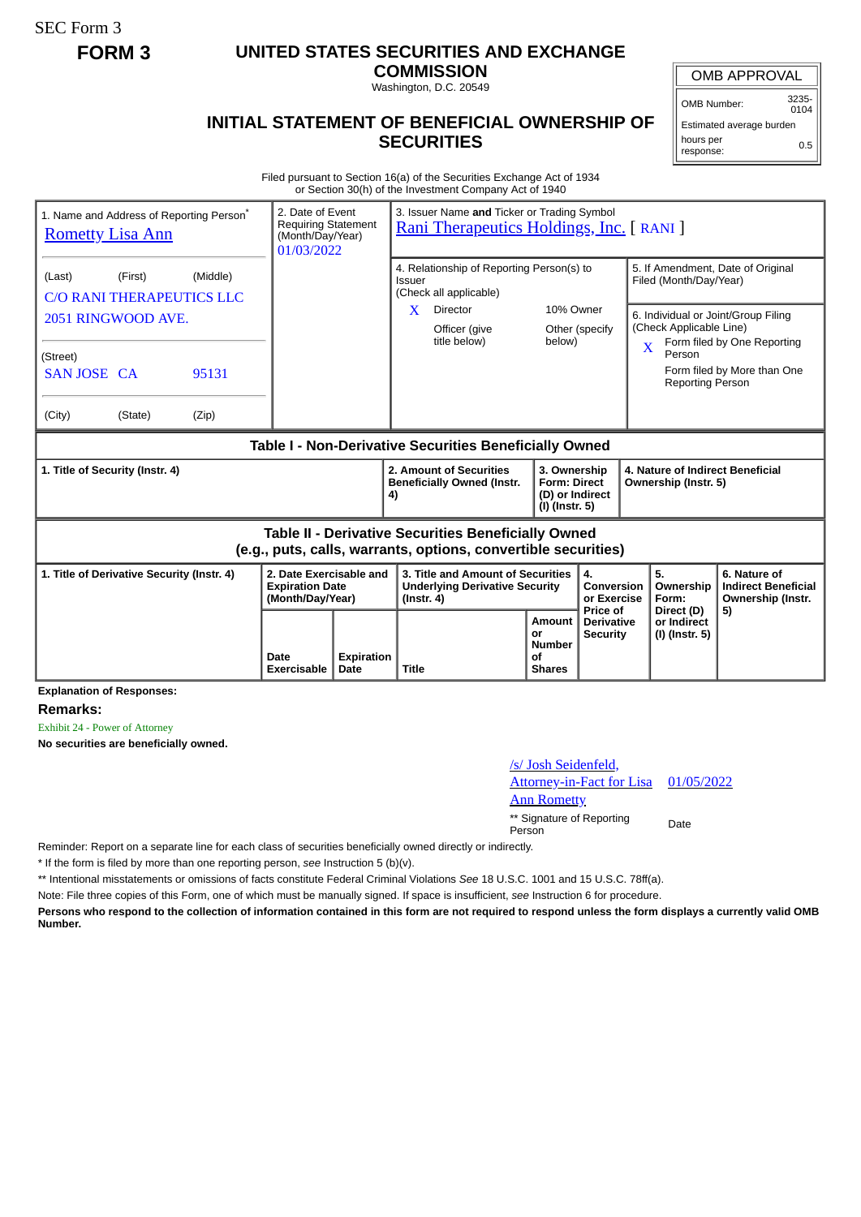SEC Form 3

## **FORM 3 UNITED STATES SECURITIES AND EXCHANGE**

**COMMISSION**

Washington, D.C. 20549

## **INITIAL STATEMENT OF BENEFICIAL OWNERSHIP OF SECURITIES**

 $0104$ Estimated average burden

0.5

hours per

Filed pursuant to Section 16(a) of the Securities Exchange Act of 1934 or Section 30(h) of the Investment Company Act of 1940

| 1. Name and Address of Reporting Person <sup>®</sup><br><b>Rometty Lisa Ann</b>                                       |                                                         |       | 2. Date of Event<br><b>Requiring Statement</b><br>(Month/Day/Year)<br>01/03/2022 |                                                                                                   | 3. Issuer Name and Ticker or Trading Symbol<br>Rani Therapeutics Holdings, Inc. [ RANI ]       |                                                                          |                                             |                                                                                |                                                                 |
|-----------------------------------------------------------------------------------------------------------------------|---------------------------------------------------------|-------|----------------------------------------------------------------------------------|---------------------------------------------------------------------------------------------------|------------------------------------------------------------------------------------------------|--------------------------------------------------------------------------|---------------------------------------------|--------------------------------------------------------------------------------|-----------------------------------------------------------------|
| (Last)                                                                                                                | (First)<br>(Middle)<br><b>C/O RANI THERAPEUTICS LLC</b> |       |                                                                                  |                                                                                                   | 4. Relationship of Reporting Person(s) to<br><b>Issuer</b><br>(Check all applicable)           |                                                                          |                                             | 5. If Amendment, Date of Original<br>Filed (Month/Day/Year)                    |                                                                 |
| 2051 RINGWOOD AVE.                                                                                                    |                                                         |       |                                                                                  |                                                                                                   | X<br>Director<br>Officer (give<br>title below)                                                 | 10% Owner<br>Other (specify<br>below)                                    |                                             | 6. Individual or Joint/Group Filing<br>(Check Applicable Line)<br>$\mathbf{X}$ | Form filed by One Reporting                                     |
| (Street)<br><b>SANJOSE CA</b>                                                                                         |                                                         | 95131 |                                                                                  |                                                                                                   |                                                                                                |                                                                          |                                             | Person<br><b>Reporting Person</b>                                              | Form filed by More than One                                     |
| (City)                                                                                                                | (State)                                                 | (Zip) |                                                                                  |                                                                                                   |                                                                                                |                                                                          |                                             |                                                                                |                                                                 |
| Table I - Non-Derivative Securities Beneficially Owned                                                                |                                                         |       |                                                                                  |                                                                                                   |                                                                                                |                                                                          |                                             |                                                                                |                                                                 |
| 1. Title of Security (Instr. 4)                                                                                       |                                                         |       |                                                                                  |                                                                                                   | 2. Amount of Securities<br><b>Beneficially Owned (Instr.</b><br>4)                             | 3. Ownership<br><b>Form: Direct</b><br>(D) or Indirect<br>(I) (Instr. 5) |                                             | 4. Nature of Indirect Beneficial<br>Ownership (Instr. 5)                       |                                                                 |
| Table II - Derivative Securities Beneficially Owned<br>(e.g., puts, calls, warrants, options, convertible securities) |                                                         |       |                                                                                  |                                                                                                   |                                                                                                |                                                                          |                                             |                                                                                |                                                                 |
| 1. Title of Derivative Security (Instr. 4)                                                                            |                                                         |       | 2. Date Exercisable and<br><b>Expiration Date</b><br>(Month/Day/Year)            |                                                                                                   | 3. Title and Amount of Securities<br><b>Underlying Derivative Security</b><br>$($ lnstr. 4 $)$ |                                                                          | 4.<br>Conversion<br>or Exercise<br>Price of | 5.<br>Ownership<br>Form:                                                       | 6. Nature of<br><b>Indirect Beneficial</b><br>Ownership (Instr. |
|                                                                                                                       |                                                         |       | Date<br><b>Exercisable</b>                                                       | <b>Amount</b><br>or<br><b>Number</b><br>of<br><b>Expiration</b><br>Title<br><b>Shares</b><br>Date |                                                                                                | <b>Derivative</b><br><b>Security</b>                                     | Direct (D)<br>or Indirect<br>(I) (Instr. 5) | 5)                                                                             |                                                                 |

**Explanation of Responses:**

**Remarks:**

Exhibit 24 - Power of Attorney

**No securities are beneficially owned.**

## /s/ Josh Seidenfeld, Attorney-in-Fact for Lisa **Ann Rometty** 01/05/2022 \*\* Signature of Reporting Person Date

Reminder: Report on a separate line for each class of securities beneficially owned directly or indirectly.

\* If the form is filed by more than one reporting person, *see* Instruction 5 (b)(v).

\*\* Intentional misstatements or omissions of facts constitute Federal Criminal Violations *See* 18 U.S.C. 1001 and 15 U.S.C. 78ff(a).

Note: File three copies of this Form, one of which must be manually signed. If space is insufficient, *see* Instruction 6 for procedure.

**Persons who respond to the collection of information contained in this form are not required to respond unless the form displays a currently valid OMB Number.**

OMB APPROVAL

OMB Number: 3235-

response: